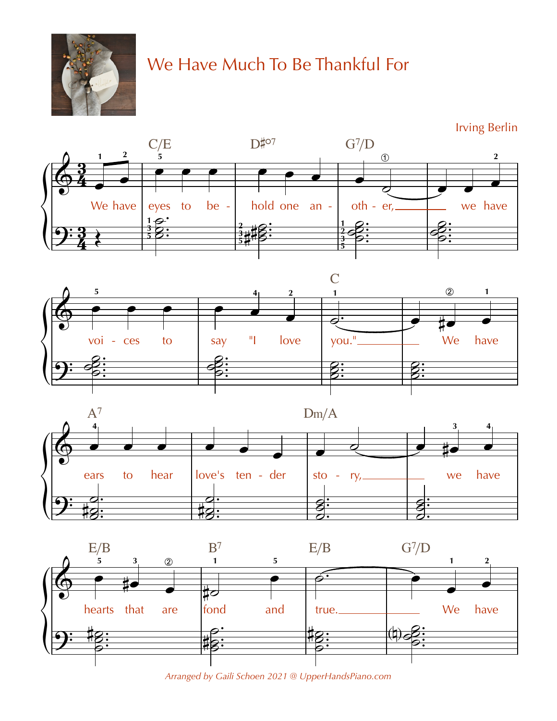

## We Have Much To Be Thankful For

**Irving Berlin** 









Arranged by Gaili Schoen 2021 @ UpperHandsPiano.com